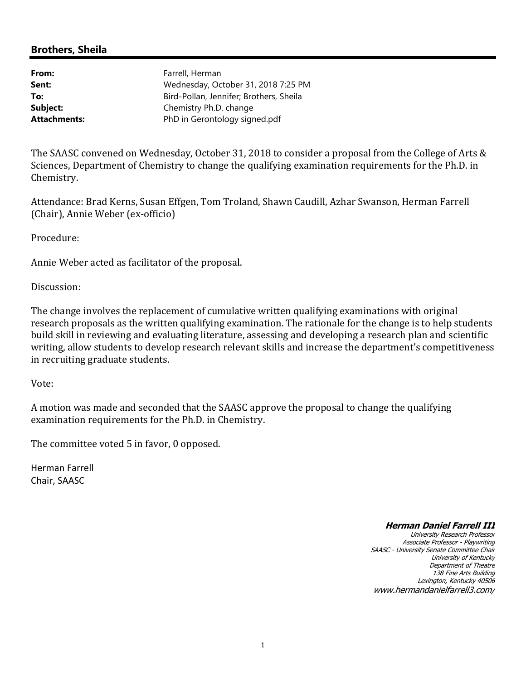# **Brothers, Sheila**

| From:        | Farrell, Herman                         |
|--------------|-----------------------------------------|
| Sent:        | Wednesday, October 31, 2018 7:25 PM     |
| To:          | Bird-Pollan, Jennifer; Brothers, Sheila |
| Subject:     | Chemistry Ph.D. change                  |
| Attachments: | PhD in Gerontology signed.pdf           |
|              |                                         |

The SAASC convened on Wednesday, October 31, 2018 to consider a proposal from the College of Arts & Sciences, Department of Chemistry to change the qualifying examination requirements for the Ph.D. in Chemistry.

Attendance: Brad Kerns, Susan Effgen, Tom Troland, Shawn Caudill, Azhar Swanson, Herman Farrell (Chair), Annie Weber (ex-officio)

Procedure:

Annie Weber acted as facilitator of the proposal.

Discussion:

The change involves the replacement of cumulative written qualifying examinations with original research proposals as the written qualifying examination. The rationale for the change is to help students build skill in reviewing and evaluating literature, assessing and developing a research plan and scientific writing, allow students to develop research relevant skills and increase the department's competitiveness in recruiting graduate students.

Vote:

A motion was made and seconded that the SAASC approve the proposal to change the qualifying examination requirements for the Ph.D. in Chemistry.

The committee voted 5 in favor, 0 opposed.

Herman Farrell Chair, SAASC

#### **Herman Daniel Farrell III**

University Research Professor Associate Professor - Playwriting SAASC - University Senate Committee Chair University of Kentucky Department of Theatre 138 Fine Arts Building Lexington, Kentucky 40506 www.hermandanielfarrell3.com/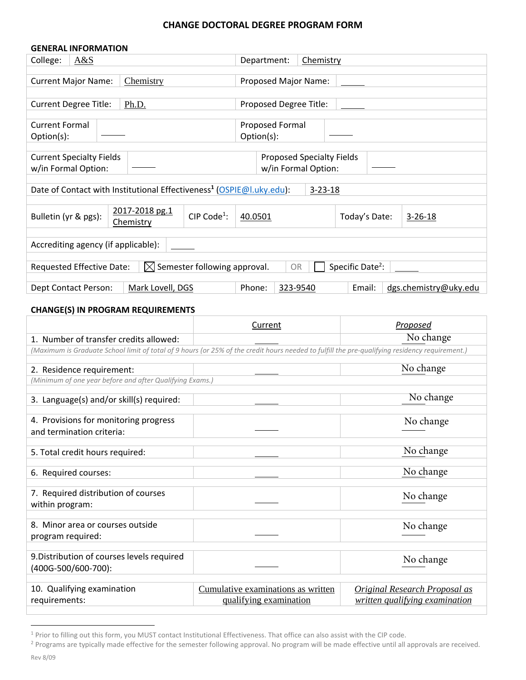## **CHANGE DOCTORAL DEGREE PROGRAM FORM**

| <b>GENERAL INFORMATION</b>                                                                                         |                                                                                  |                          |                                 |
|--------------------------------------------------------------------------------------------------------------------|----------------------------------------------------------------------------------|--------------------------|---------------------------------|
| College:<br>A&S                                                                                                    |                                                                                  | Chemistry<br>Department: |                                 |
|                                                                                                                    |                                                                                  |                          |                                 |
| <b>Current Major Name:</b>                                                                                         | Chemistry                                                                        | Proposed Major Name:     |                                 |
|                                                                                                                    |                                                                                  |                          |                                 |
| <b>Current Degree Title:</b>                                                                                       | Ph.D.                                                                            | Proposed Degree Title:   |                                 |
|                                                                                                                    |                                                                                  |                          |                                 |
| <b>Current Formal</b>                                                                                              |                                                                                  | Proposed Formal          |                                 |
| Option(s):                                                                                                         |                                                                                  | Option(s):               |                                 |
|                                                                                                                    |                                                                                  |                          |                                 |
| <b>Current Specialty Fields</b><br><b>Proposed Specialty Fields</b>                                                |                                                                                  |                          |                                 |
| w/in Formal Option:<br>w/in Formal Option:                                                                         |                                                                                  |                          |                                 |
|                                                                                                                    |                                                                                  |                          |                                 |
|                                                                                                                    | Date of Contact with Institutional Effectiveness <sup>1</sup> (OSPIE@I.uky.edu): | $3 - 23 - 18$            |                                 |
|                                                                                                                    |                                                                                  |                          |                                 |
|                                                                                                                    | 2017-2018 pg.1<br>CIP Code <sup>1</sup> :                                        |                          |                                 |
| Bulletin (yr & pgs):                                                                                               | Chemistry                                                                        | 40.0501                  | Today's Date:<br>$3 - 26 - 18$  |
|                                                                                                                    |                                                                                  |                          |                                 |
| Accrediting agency (if applicable):                                                                                |                                                                                  |                          |                                 |
|                                                                                                                    |                                                                                  |                          |                                 |
| Specific Date <sup>2</sup> :<br>$\boxtimes$ Semester following approval.<br>Requested Effective Date:<br><b>OR</b> |                                                                                  |                          |                                 |
|                                                                                                                    |                                                                                  |                          |                                 |
| Dept Contact Person:                                                                                               | Mark Lovell, DGS                                                                 | Phone:<br>323-9540       | Email:<br>dgs.chemistry@uky.edu |

# **CHANGE(S) IN PROGRAM REQUIREMENTS**

|                                                                                                                                                | Current                                                      | Proposed                                                               |
|------------------------------------------------------------------------------------------------------------------------------------------------|--------------------------------------------------------------|------------------------------------------------------------------------|
| 1. Number of transfer credits allowed:                                                                                                         |                                                              | No change                                                              |
| (Maximum is Graduate School limit of total of 9 hours (or 25% of the credit hours needed to fulfill the pre-qualifying residency requirement.) |                                                              |                                                                        |
| 2. Residence requirement:                                                                                                                      |                                                              | No change                                                              |
| (Minimum of one year before and after Qualifying Exams.)                                                                                       |                                                              |                                                                        |
| 3. Language(s) and/or skill(s) required:                                                                                                       |                                                              | No change                                                              |
| 4. Provisions for monitoring progress<br>and termination criteria:                                                                             |                                                              | No change                                                              |
| 5. Total credit hours required:                                                                                                                |                                                              | No change                                                              |
| 6. Required courses:                                                                                                                           |                                                              | No change                                                              |
| 7. Required distribution of courses<br>within program:                                                                                         |                                                              | No change                                                              |
| 8. Minor area or courses outside<br>program required:                                                                                          |                                                              | No change                                                              |
| 9. Distribution of courses levels required<br>(400G-500/600-700):                                                                              |                                                              | No change                                                              |
| 10. Qualifying examination<br>requirements:                                                                                                    | Cumulative examinations as written<br>qualifying examination | <b>Original Research Proposal as</b><br>written qualifying examination |

<sup>&</sup>lt;sup>1</sup> Prior to filling out this form, you MUST contact Institutional Effectiveness. That office can also assist with the CIP code.

<sup>&</sup>lt;sup>2</sup> Programs are typically made effective for the semester following approval. No program will be made effective until all approvals are received.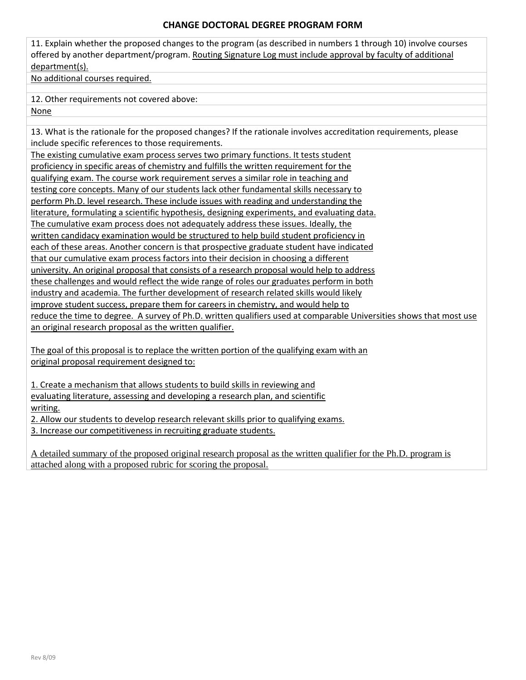#### **CHANGE DOCTORAL DEGREE PROGRAM FORM**

11. Explain whether the proposed changes to the program (as described in numbers 1 through 10) involve courses offered by another department/program. Routing Signature Log must include approval by faculty of additional department(s).

No additional courses required.

12. Other requirements not covered above:

None

13. What is the rationale for the proposed changes? If the rationale involves accreditation requirements, please include specific references to those requirements.

The existing cumulative exam process serves two primary functions. It tests student proficiency in specific areas of chemistry and fulfills the written requirement for the qualifying exam. The course work requirement serves a similar role in teaching and testing core concepts. Many of our students lack other fundamental skills necessary to perform Ph.D. level research. These include issues with reading and understanding the literature, formulating a scientific hypothesis, designing experiments, and evaluating data. The cumulative exam process does not adequately address these issues. Ideally, the written candidacy examination would be structured to help build student proficiency in each of these areas. Another concern is that prospective graduate student have indicated that our cumulative exam process factors into their decision in choosing a different university. An original proposal that consists of a research proposal would help to address these challenges and would reflect the wide range of roles our graduates perform in both industry and academia. The further development of research related skills would likely improve student success, prepare them for careers in chemistry, and would help to reduce the time to degree. A survey of Ph.D. written qualifiers used at comparable Universities shows that most use an original research proposal as the written qualifier.

The goal of this proposal is to replace the written portion of the qualifying exam with an original proposal requirement designed to:

1. Create a mechanism that allows students to build skills in reviewing and evaluating literature, assessing and developing a research plan, and scientific writing.

2. Allow our students to develop research relevant skills prior to qualifying exams.

3. Increase our competitiveness in recruiting graduate students.

A detailed summary of the proposed original research proposal as the written qualifier for the Ph.D. program is attached along with a proposed rubric for scoring the proposal.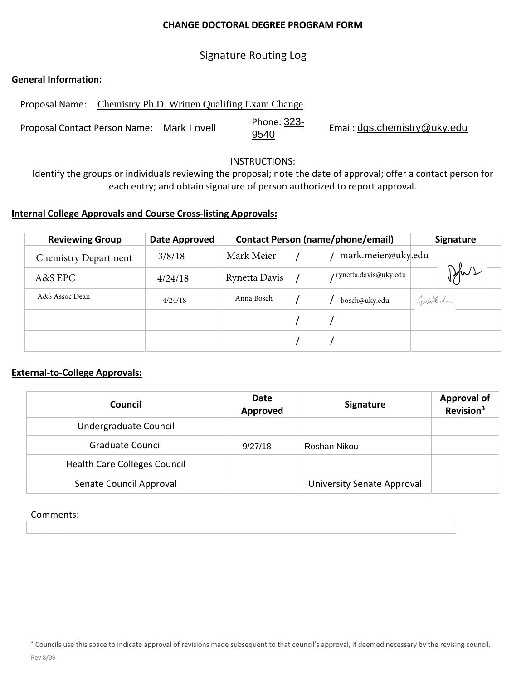## **CHANGE DOCTORAL DEGREE PROGRAM FORM**

# Signature Routing Log

## **General Information:**

Proposal Name: Chemistry Ph.D. Written Qualifing Exam Change

Proposal Contact Person Name: Mark Lovell Phone: 323-<br>9540 <sup>9540</sup> Email: dgs.chemistry@uky.edu

#### INSTRUCTIONS:

Identify the groups or individuals reviewing the proposal; note the date of approval; offer a contact person for each entry; and obtain signature of person authorized to report approval.

## **Internal College Approvals and Course Cross‐listing Approvals:**

| <b>Reviewing Group</b>      | Date Approved |               | <b>Contact Person (name/phone/email)</b> | <b>Signature</b> |
|-----------------------------|---------------|---------------|------------------------------------------|------------------|
| <b>Chemistry Department</b> | 3/8/18        | Mark Meier    | mark.meier@uky.edu                       |                  |
| A&S EPC                     | 4/24/18       | Rynetta Davis | / rynetta.davis@uky.edu                  | Phil             |
| A&S Assoc Dean              | 4/24/18       | Anna Bosch    | bosch@uky.edu                            | Julikal          |
|                             |               |               |                                          |                  |
|                             |               |               |                                          |                  |

## **External‐to‐College Approvals:**

| Council                             | Date<br>Approved | <b>Signature</b>           | <b>Approval of</b><br>Revision <sup>3</sup> |
|-------------------------------------|------------------|----------------------------|---------------------------------------------|
| Undergraduate Council               |                  |                            |                                             |
| <b>Graduate Council</b>             | 9/27/18          | Roshan Nikou               |                                             |
| <b>Health Care Colleges Council</b> |                  |                            |                                             |
| Senate Council Approval             |                  | University Senate Approval |                                             |

## Comments:

Rev 8/09 <sup>3</sup> Councils use this space to indicate approval of revisions made subsequent to that council's approval, if deemed necessary by the revising council.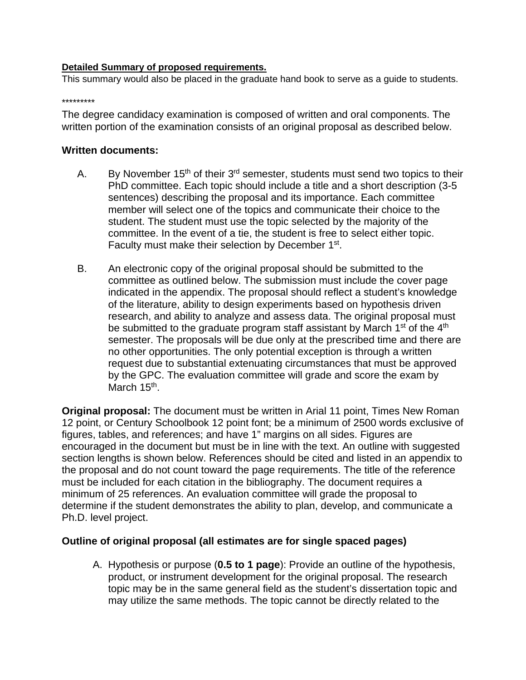## **Detailed Summary of proposed requirements.**

This summary would also be placed in the graduate hand book to serve as a guide to students.

#### \*\*\*\*\*\*\*\*\*

The degree candidacy examination is composed of written and oral components. The written portion of the examination consists of an original proposal as described below.

## **Written documents:**

- A. By November  $15<sup>th</sup>$  of their  $3<sup>rd</sup>$  semester, students must send two topics to their PhD committee. Each topic should include a title and a short description (3-5 sentences) describing the proposal and its importance. Each committee member will select one of the topics and communicate their choice to the student. The student must use the topic selected by the majority of the committee. In the event of a tie, the student is free to select either topic. Faculty must make their selection by December 1<sup>st</sup>.
- B. An electronic copy of the original proposal should be submitted to the committee as outlined below. The submission must include the cover page indicated in the appendix. The proposal should reflect a student's knowledge of the literature, ability to design experiments based on hypothesis driven research, and ability to analyze and assess data. The original proposal must be submitted to the graduate program staff assistant by March  $1<sup>st</sup>$  of the  $4<sup>th</sup>$ semester. The proposals will be due only at the prescribed time and there are no other opportunities. The only potential exception is through a written request due to substantial extenuating circumstances that must be approved by the GPC. The evaluation committee will grade and score the exam by March 15<sup>th</sup>.

**Original proposal:** The document must be written in Arial 11 point, Times New Roman 12 point, or Century Schoolbook 12 point font; be a minimum of 2500 words exclusive of figures, tables, and references; and have 1" margins on all sides. Figures are encouraged in the document but must be in line with the text. An outline with suggested section lengths is shown below. References should be cited and listed in an appendix to the proposal and do not count toward the page requirements. The title of the reference must be included for each citation in the bibliography. The document requires a minimum of 25 references. An evaluation committee will grade the proposal to determine if the student demonstrates the ability to plan, develop, and communicate a Ph.D. level project.

## **Outline of original proposal (all estimates are for single spaced pages)**

A. Hypothesis or purpose (**0.5 to 1 page**): Provide an outline of the hypothesis, product, or instrument development for the original proposal. The research topic may be in the same general field as the student's dissertation topic and may utilize the same methods. The topic cannot be directly related to the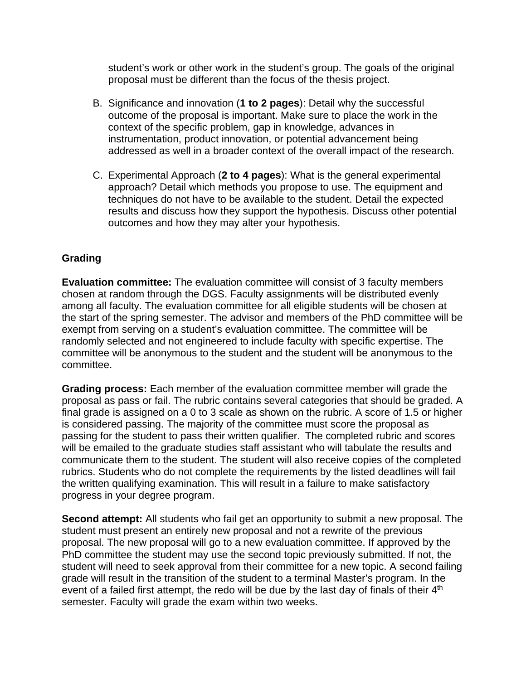student's work or other work in the student's group. The goals of the original proposal must be different than the focus of the thesis project.

- B. Significance and innovation (**1 to 2 pages**): Detail why the successful outcome of the proposal is important. Make sure to place the work in the context of the specific problem, gap in knowledge, advances in instrumentation, product innovation, or potential advancement being addressed as well in a broader context of the overall impact of the research.
- C. Experimental Approach (**2 to 4 pages**): What is the general experimental approach? Detail which methods you propose to use. The equipment and techniques do not have to be available to the student. Detail the expected results and discuss how they support the hypothesis. Discuss other potential outcomes and how they may alter your hypothesis.

# **Grading**

**Evaluation committee:** The evaluation committee will consist of 3 faculty members chosen at random through the DGS. Faculty assignments will be distributed evenly among all faculty. The evaluation committee for all eligible students will be chosen at the start of the spring semester. The advisor and members of the PhD committee will be exempt from serving on a student's evaluation committee. The committee will be randomly selected and not engineered to include faculty with specific expertise. The committee will be anonymous to the student and the student will be anonymous to the committee.

**Grading process:** Each member of the evaluation committee member will grade the proposal as pass or fail. The rubric contains several categories that should be graded. A final grade is assigned on a 0 to 3 scale as shown on the rubric. A score of 1.5 or higher is considered passing. The majority of the committee must score the proposal as passing for the student to pass their written qualifier. The completed rubric and scores will be emailed to the graduate studies staff assistant who will tabulate the results and communicate them to the student. The student will also receive copies of the completed rubrics. Students who do not complete the requirements by the listed deadlines will fail the written qualifying examination. This will result in a failure to make satisfactory progress in your degree program.

**Second attempt:** All students who fail get an opportunity to submit a new proposal. The student must present an entirely new proposal and not a rewrite of the previous proposal. The new proposal will go to a new evaluation committee. If approved by the PhD committee the student may use the second topic previously submitted. If not, the student will need to seek approval from their committee for a new topic. A second failing grade will result in the transition of the student to a terminal Master's program. In the event of a failed first attempt, the redo will be due by the last day of finals of their 4<sup>th</sup> semester. Faculty will grade the exam within two weeks.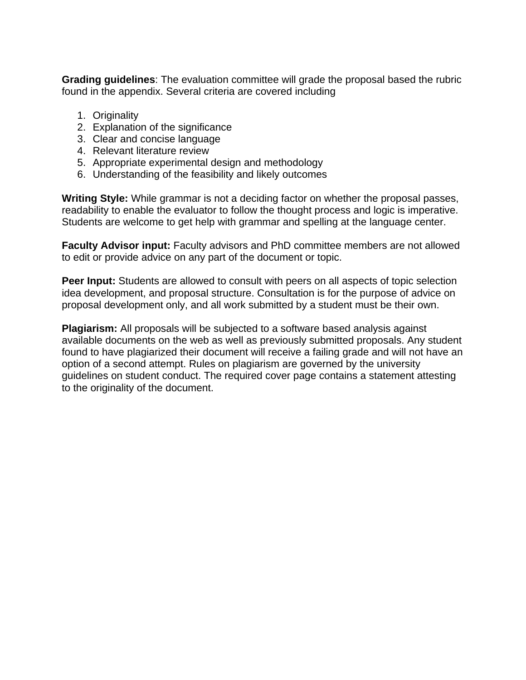**Grading guidelines**: The evaluation committee will grade the proposal based the rubric found in the appendix. Several criteria are covered including

- 1. Originality
- 2. Explanation of the significance
- 3. Clear and concise language
- 4. Relevant literature review
- 5. Appropriate experimental design and methodology
- 6. Understanding of the feasibility and likely outcomes

**Writing Style:** While grammar is not a deciding factor on whether the proposal passes, readability to enable the evaluator to follow the thought process and logic is imperative. Students are welcome to get help with grammar and spelling at the language center.

**Faculty Advisor input:** Faculty advisors and PhD committee members are not allowed to edit or provide advice on any part of the document or topic.

**Peer Input:** Students are allowed to consult with peers on all aspects of topic selection idea development, and proposal structure. Consultation is for the purpose of advice on proposal development only, and all work submitted by a student must be their own.

**Plagiarism:** All proposals will be subjected to a software based analysis against available documents on the web as well as previously submitted proposals. Any student found to have plagiarized their document will receive a failing grade and will not have an option of a second attempt. Rules on plagiarism are governed by the university guidelines on student conduct. The required cover page contains a statement attesting to the originality of the document.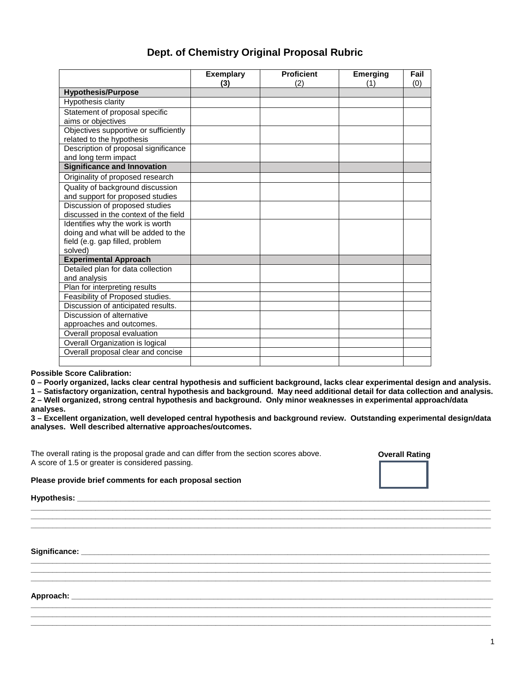| Dept. of Chemistry Original Proposal Rubric |  |
|---------------------------------------------|--|
|---------------------------------------------|--|

|                                       | <b>Exemplary</b><br>(3) | <b>Proficient</b><br>(2) | <b>Emerging</b><br>(1) | Fail<br>(0) |
|---------------------------------------|-------------------------|--------------------------|------------------------|-------------|
| <b>Hypothesis/Purpose</b>             |                         |                          |                        |             |
| Hypothesis clarity                    |                         |                          |                        |             |
| Statement of proposal specific        |                         |                          |                        |             |
| aims or objectives                    |                         |                          |                        |             |
| Objectives supportive or sufficiently |                         |                          |                        |             |
| related to the hypothesis             |                         |                          |                        |             |
| Description of proposal significance  |                         |                          |                        |             |
| and long term impact                  |                         |                          |                        |             |
| <b>Significance and Innovation</b>    |                         |                          |                        |             |
| Originality of proposed research      |                         |                          |                        |             |
| Quality of background discussion      |                         |                          |                        |             |
| and support for proposed studies      |                         |                          |                        |             |
| Discussion of proposed studies        |                         |                          |                        |             |
| discussed in the context of the field |                         |                          |                        |             |
| Identifies why the work is worth      |                         |                          |                        |             |
| doing and what will be added to the   |                         |                          |                        |             |
| field (e.g. gap filled, problem       |                         |                          |                        |             |
| solved)                               |                         |                          |                        |             |
| <b>Experimental Approach</b>          |                         |                          |                        |             |
| Detailed plan for data collection     |                         |                          |                        |             |
| and analysis                          |                         |                          |                        |             |
| Plan for interpreting results         |                         |                          |                        |             |
| Feasibility of Proposed studies.      |                         |                          |                        |             |
| Discussion of anticipated results.    |                         |                          |                        |             |
| Discussion of alternative             |                         |                          |                        |             |
| approaches and outcomes.              |                         |                          |                        |             |
| Overall proposal evaluation           |                         |                          |                        |             |
| Overall Organization is logical       |                         |                          |                        |             |
| Overall proposal clear and concise    |                         |                          |                        |             |
|                                       |                         |                          |                        |             |

**Possible Score Calibration:** 

**0 – Poorly organized, lacks clear central hypothesis and sufficient background, lacks clear experimental design and analysis.**

**1 – Satisfactory organization, central hypothesis and background. May need additional detail for data collection and analysis. 2 – Well organized, strong central hypothesis and background. Only minor weaknesses in experimental approach/data** 

**analyses.**

**3 – Excellent organization, well developed central hypothesis and background review. Outstanding experimental design/data analyses. Well described alternative approaches/outcomes.** 

**\_\_\_\_\_\_\_\_\_\_\_\_\_\_\_\_\_\_\_\_\_\_\_\_\_\_\_\_\_\_\_\_\_\_\_\_\_\_\_\_\_\_\_\_\_\_\_\_\_\_\_\_\_\_\_\_\_\_\_\_\_\_\_\_\_\_\_\_\_\_\_\_\_\_\_\_\_\_\_\_\_\_\_\_\_\_\_\_\_\_\_\_\_\_\_\_\_\_\_\_\_\_\_\_\_\_\_ \_\_\_\_\_\_\_\_\_\_\_\_\_\_\_\_\_\_\_\_\_\_\_\_\_\_\_\_\_\_\_\_\_\_\_\_\_\_\_\_\_\_\_\_\_\_\_\_\_\_\_\_\_\_\_\_\_\_\_\_\_\_\_\_\_\_\_\_\_\_\_\_\_\_\_\_\_\_\_\_\_\_\_\_\_\_\_\_\_\_\_\_\_\_\_\_\_\_\_\_\_\_\_\_\_\_\_ \_\_\_\_\_\_\_\_\_\_\_\_\_\_\_\_\_\_\_\_\_\_\_\_\_\_\_\_\_\_\_\_\_\_\_\_\_\_\_\_\_\_\_\_\_\_\_\_\_\_\_\_\_\_\_\_\_\_\_\_\_\_\_\_\_\_\_\_\_\_\_\_\_\_\_\_\_\_\_\_\_\_\_\_\_\_\_\_\_\_\_\_\_\_\_\_\_\_\_\_\_\_\_\_\_\_\_**

**\_\_\_\_\_\_\_\_\_\_\_\_\_\_\_\_\_\_\_\_\_\_\_\_\_\_\_\_\_\_\_\_\_\_\_\_\_\_\_\_\_\_\_\_\_\_\_\_\_\_\_\_\_\_\_\_\_\_\_\_\_\_\_\_\_\_\_\_\_\_\_\_\_\_\_\_\_\_\_\_\_\_\_\_\_\_\_\_\_\_\_\_\_\_\_\_\_\_\_\_\_\_\_\_\_\_\_ \_\_\_\_\_\_\_\_\_\_\_\_\_\_\_\_\_\_\_\_\_\_\_\_\_\_\_\_\_\_\_\_\_\_\_\_\_\_\_\_\_\_\_\_\_\_\_\_\_\_\_\_\_\_\_\_\_\_\_\_\_\_\_\_\_\_\_\_\_\_\_\_\_\_\_\_\_\_\_\_\_\_\_\_\_\_\_\_\_\_\_\_\_\_\_\_\_\_\_\_\_\_\_\_\_\_\_ \_\_\_\_\_\_\_\_\_\_\_\_\_\_\_\_\_\_\_\_\_\_\_\_\_\_\_\_\_\_\_\_\_\_\_\_\_\_\_\_\_\_\_\_\_\_\_\_\_\_\_\_\_\_\_\_\_\_\_\_\_\_\_\_\_\_\_\_\_\_\_\_\_\_\_\_\_\_\_\_\_\_\_\_\_\_\_\_\_\_\_\_\_\_\_\_\_\_\_\_\_\_\_\_\_\_\_**

**\_\_\_\_\_\_\_\_\_\_\_\_\_\_\_\_\_\_\_\_\_\_\_\_\_\_\_\_\_\_\_\_\_\_\_\_\_\_\_\_\_\_\_\_\_\_\_\_\_\_\_\_\_\_\_\_\_\_\_\_\_\_\_\_\_\_\_\_\_\_\_\_\_\_\_\_\_\_\_\_\_\_\_\_\_\_\_\_\_\_\_\_\_\_\_\_\_\_\_\_\_\_\_\_\_\_\_ \_\_\_\_\_\_\_\_\_\_\_\_\_\_\_\_\_\_\_\_\_\_\_\_\_\_\_\_\_\_\_\_\_\_\_\_\_\_\_\_\_\_\_\_\_\_\_\_\_\_\_\_\_\_\_\_\_\_\_\_\_\_\_\_\_\_\_\_\_\_\_\_\_\_\_\_\_\_\_\_\_\_\_\_\_\_\_\_\_\_\_\_\_\_\_\_\_\_\_\_\_\_\_\_\_\_\_**

The overall rating is the proposal grade and can differ from the section scores above. A score of 1.5 or greater is considered passing.



**Please provide brief comments for each proposal section**

**Hypothesis: \_\_\_\_\_\_\_\_\_\_\_\_\_\_\_\_\_\_\_\_\_\_\_\_\_\_\_\_\_\_\_\_\_\_\_\_\_\_\_\_\_\_\_\_\_\_\_\_\_\_\_\_\_\_\_\_\_\_\_\_\_\_\_\_\_\_\_\_\_\_\_\_\_\_\_\_\_\_\_\_\_\_\_\_\_\_\_\_\_\_\_\_\_\_\_\_** 

**Significance: \_\_\_\_\_\_\_\_\_\_\_\_\_\_\_\_\_\_\_\_\_\_\_\_\_\_\_\_\_\_\_\_\_\_\_\_\_\_\_\_\_\_\_\_\_\_\_\_\_\_\_\_\_\_\_\_\_\_\_\_\_\_\_\_\_\_\_\_\_\_\_\_\_\_\_\_\_\_\_\_\_\_\_\_\_\_\_\_\_\_\_\_\_\_\_** 

**Approach: \_\_\_\_\_\_\_\_\_\_\_\_\_\_\_\_\_\_\_\_\_\_\_\_\_\_\_\_\_\_\_\_\_\_\_\_\_\_\_\_\_\_\_\_\_\_\_\_\_\_\_\_\_\_\_\_\_\_\_\_\_\_\_\_\_\_\_\_\_\_\_\_\_\_\_\_\_\_\_\_\_\_\_\_\_\_\_\_\_\_\_\_\_\_\_\_\_\_**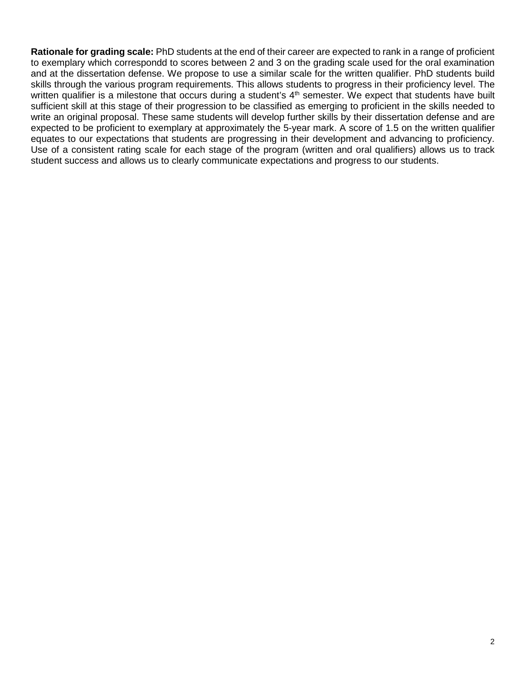**Rationale for grading scale:** PhD students at the end of their career are expected to rank in a range of proficient to exemplary which correspondd to scores between 2 and 3 on the grading scale used for the oral examination and at the dissertation defense. We propose to use a similar scale for the written qualifier. PhD students build skills through the various program requirements. This allows students to progress in their proficiency level. The written qualifier is a milestone that occurs during a student's 4<sup>th</sup> semester. We expect that students have built sufficient skill at this stage of their progression to be classified as emerging to proficient in the skills needed to write an original proposal. These same students will develop further skills by their dissertation defense and are expected to be proficient to exemplary at approximately the 5-year mark. A score of 1.5 on the written qualifier equates to our expectations that students are progressing in their development and advancing to proficiency. Use of a consistent rating scale for each stage of the program (written and oral qualifiers) allows us to track student success and allows us to clearly communicate expectations and progress to our students.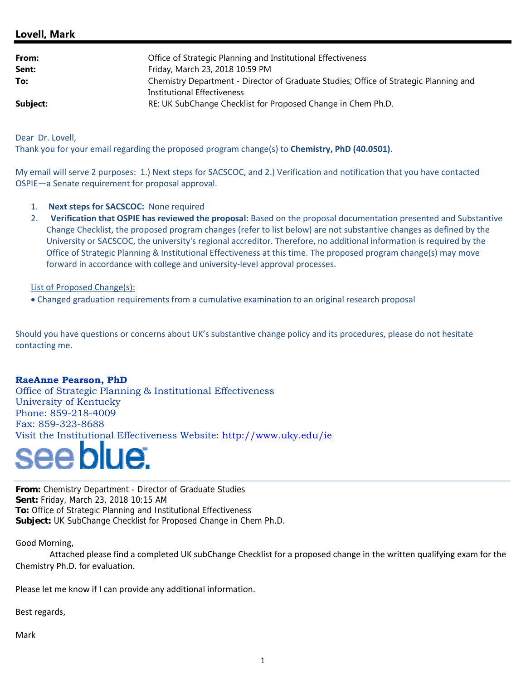## **Lovell, Mark**

| From:<br>Sent: | Office of Strategic Planning and Institutional Effectiveness<br>Friday, March 23, 2018 10:59 PM |
|----------------|-------------------------------------------------------------------------------------------------|
| To:            | Chemistry Department - Director of Graduate Studies; Office of Strategic Planning and           |
| Subject:       | Institutional Effectiveness<br>RE: UK SubChange Checklist for Proposed Change in Chem Ph.D.     |

Dear Dr. Lovell,

Thank you for your email regarding the proposed program change(s) to **Chemistry, PhD (40.0501)**.

My email will serve 2 purposes: 1.) Next steps for SACSCOC, and 2.) Verification and notification that you have contacted OSPIE—a Senate requirement for proposal approval.

- 1. **Next steps for SACSCOC:** None required
- 2. **Verification that OSPIE has reviewed the proposal:** Based on the proposal documentation presented and Substantive Change Checklist, the proposed program changes (refer to list below) are not substantive changes as defined by the University or SACSCOC, the university's regional accreditor. Therefore, no additional information is required by the Office of Strategic Planning & Institutional Effectiveness at this time. The proposed program change(s) may move forward in accordance with college and university-level approval processes.

List of Proposed Change(s):

Changed graduation requirements from a cumulative examination to an original research proposal

Should you have questions or concerns about UK's substantive change policy and its procedures, please do not hesitate contacting me.

#### **RaeAnne Pearson, PhD**

Office of Strategic Planning & Institutional Effectiveness University of Kentucky Phone: 859-218-4009 Fax: 859-323-8688 Visit the Institutional Effectiveness Website: http://www.uky.edu/ie

**From:** Chemistry Department - Director of Graduate Studies **Sent:** Friday, March 23, 2018 10:15 AM **To:** Office of Strategic Planning and Institutional Effectiveness **Subject:** UK SubChange Checklist for Proposed Change in Chem Ph.D.

Good Morning,

 Attached please find a completed UK subChange Checklist for a proposed change in the written qualifying exam for the Chemistry Ph.D. for evaluation.

Please let me know if I can provide any additional information.

Best regards,

Mark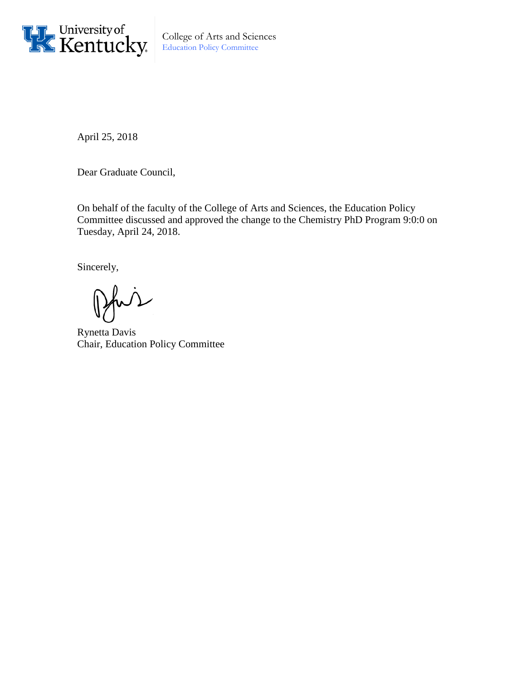

College of Arts and Sciences Education Policy Committee

April 25, 2018

Dear Graduate Council,

On behalf of the faculty of the College of Arts and Sciences, the Education Policy Committee discussed and approved the change to the Chemistry PhD Program 9:0:0 on Tuesday, April 24, 2018.

Sincerely,

Pfui

Rynetta Davis Chair, Education Policy Committee